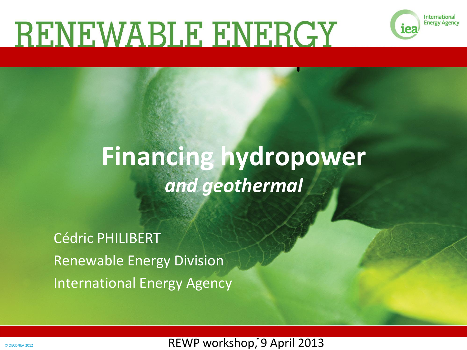

# **RENEWABLE ENERGY**

# **Financing hydropower** *and geothermal*

Cédric PHILIBERT Renewable Energy Division International Energy Agency

REWP workshop, 9 April 2013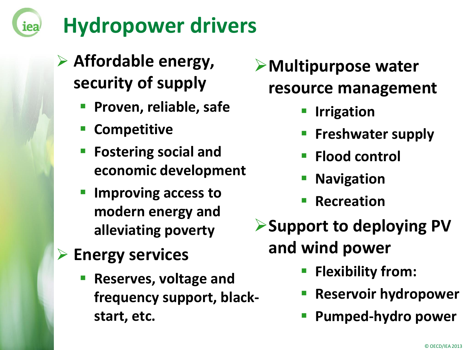# **Hydropower drivers**

### **Affordable energy, security of supply**

- **Proven, reliable, safe**
- **Competitive**

iea

- **Fostering social and economic development**
- **Improving access to modern energy and alleviating poverty**

#### **Energy services**

 **Reserves, voltage and frequency support, blackstart, etc.**

#### **Multipurpose water resource management**

- **Irrigation**
- **Freshwater supply**
- **Flood control**
- **Navigation**
- **Recreation**

**Support to deploying PV and wind power**

- **Flexibility from:**
- **Reservoir hydropower**
- **Pumped-hydro power**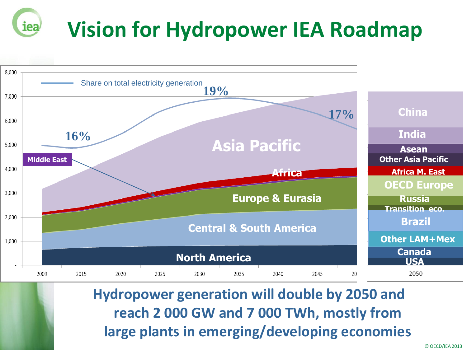#### iea **Vision for Hydropower IEA Roadmap**



**Hydropower generation will double by 2050 and reach 2 000 GW and 7 000 TWh, mostly from large plants in emerging/developing economies**

© OECD/IEA 2013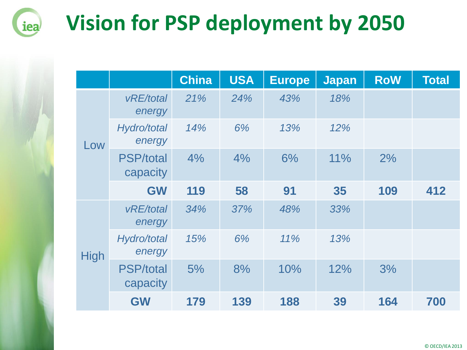# **Vision for PSP deployment by 2050**

iea

|             |                              | <b>China</b> | <b>USA</b> | <b>Europe</b> | <b>Japan</b> | <b>RoW</b> | <b>Total</b> |
|-------------|------------------------------|--------------|------------|---------------|--------------|------------|--------------|
| Low         | vRE/total<br>energy          | 21%          | 24%        | 43%           | 18%          |            |              |
|             | Hydro/total<br>energy        | 14%          | 6%         | 13%           | 12%          |            |              |
|             | <b>PSP/total</b><br>capacity | 4%           | 4%         | 6%            | 11%          | 2%         |              |
|             | <b>GW</b>                    | 119          | 58         | 91            | 35           | 109        | 412          |
| <b>High</b> | vRE/total<br>energy          | 34%          | 37%        | 48%           | 33%          |            |              |
|             | Hydro/total<br>energy        | 15%          | 6%         | 11%           | 13%          |            |              |
|             | <b>PSP/total</b><br>capacity | 5%           | 8%         | 10%           | 12%          | 3%         |              |
|             | <b>GW</b>                    | 179          | 139        | 188           | 39           | 164        | 700          |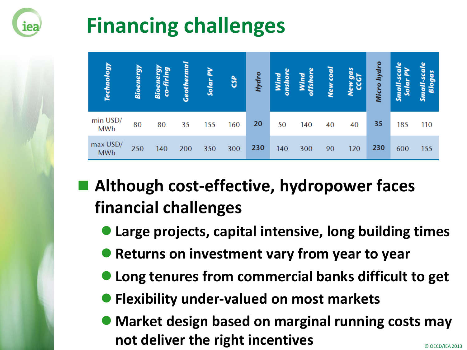

## **Financing challenges**

| <b>Technology</b>      | <b>Bioenergy</b> | <b>P</b><br>firi<br><b>Bioe</b><br>$\bar{e}$ | <b>Geotherma</b> | Solar | <b>GP</b> | ğ   | onshor<br>Wind | offshor<br>ind | $\overline{\text{coal}}$<br><b>New</b> | gas<br>GT<br>ပ္ပ<br>New | hydro<br><b>Micro</b> | ale<br>Small-s<br>Solar | ale<br><b>S.D</b><br><b>Bio</b><br>Sma |
|------------------------|------------------|----------------------------------------------|------------------|-------|-----------|-----|----------------|----------------|----------------------------------------|-------------------------|-----------------------|-------------------------|----------------------------------------|
| min USD/<br><b>MWh</b> | 80               | 80                                           | 35               | 155   | 160       | 20  | 50             | 140            | 40                                     | 40                      | 35                    | 185                     | 110                                    |
| max USD/<br><b>MWh</b> | 250              | 140                                          | 200              | 350   | 300       | 230 | 140            | 300            | 90                                     | 120                     | 230                   | 600                     | 155                                    |

### **Although cost-effective, hydropower faces financial challenges**

- **Large projects, capital intensive, long building times**
- **Returns on investment vary from year to year**
- **Long tenures from commercial banks difficult to get**
- **Flexibility under-valued on most markets**
- **Market design based on marginal running costs may not deliver the right incentives**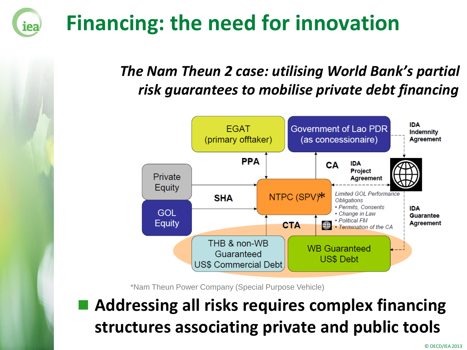## **Financing: the need for innovation**

iea

#### *The Nam Theun 2 case: utilising World Bank's partial risk guarantees to mobilise private debt financing*



\*Nam Theun Power Company (Special Purpose Vehicle)

#### **Addressing all risks requires complex financing structures associating private and public tools**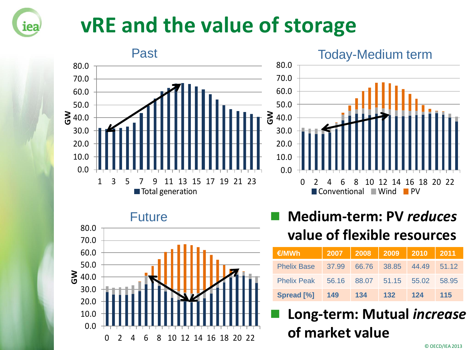

### **vRE and the value of storage**



Future



#### **Medium-term: PV** *reduces*  **value of flexible resources**

| €/MWh                                     | 2007 2008 2009 2010 2011 |        |     |     |
|-------------------------------------------|--------------------------|--------|-----|-----|
| Phelix Base 37.99 66.76 38.85 44.49 51.12 |                          |        |     |     |
| Phelix Peak 56.16 88.07 51.15 55.02 58.95 |                          |        |     |     |
| <b>Spread [%] 149</b>                     | 134                      | $-132$ | 124 | 115 |

#### **Long-term: Mutual** *increase* **of market value**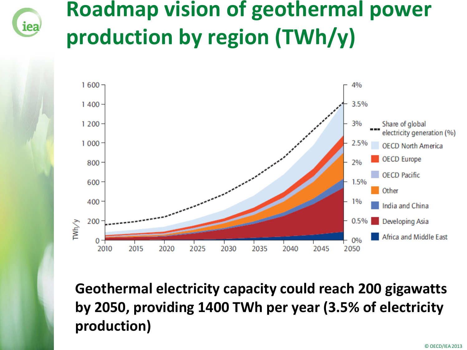# iea

### **Roadmap vision of geothermal power production by region (TWh/y)**



**Geothermal electricity capacity could reach 200 gigawatts by 2050, providing 1400 TWh per year (3.5% of electricity production)**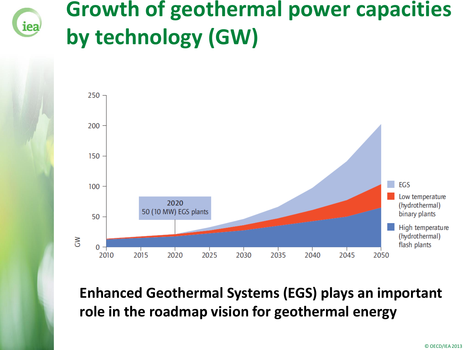

### **Growth of geothermal power capacities by technology (GW)**



#### **Enhanced Geothermal Systems (EGS) plays an important role in the roadmap vision for geothermal energy**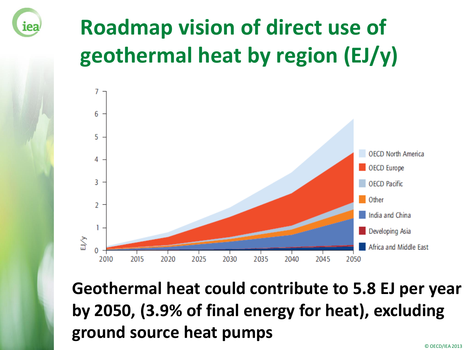

# **Roadmap vision of direct use of geothermal heat by region (EJ/y)**



**Geothermal heat could contribute to 5.8 EJ per year by 2050, (3.9% of final energy for heat), excluding ground source heat pumps**